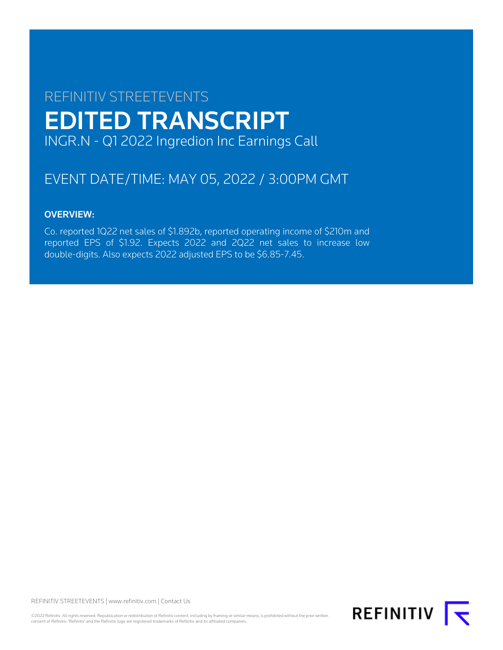# REFINITIV STREETEVENTS EDITED TRANSCRIPT INGR.N - Q1 2022 Ingredion Inc Earnings Call

## EVENT DATE/TIME: MAY 05, 2022 / 3:00PM GMT

## OVERVIEW:

Co. reported 1Q22 net sales of \$1.892b, reported operating income of \$210m and reported EPS of \$1.92. Expects 2022 and 2Q22 net sales to increase low double-digits. Also expects 2022 adjusted EPS to be \$6.85-7.45.

REFINITIV STREETEVENTS | [www.refinitiv.com](https://www.refinitiv.com/) | [Contact Us](https://www.refinitiv.com/en/contact-us)

©2022 Refinitiv. All rights reserved. Republication or redistribution of Refinitiv content, including by framing or similar means, is prohibited without the prior written consent of Refinitiv. 'Refinitiv' and the Refinitiv logo are registered trademarks of Refinitiv and its affiliated companies.

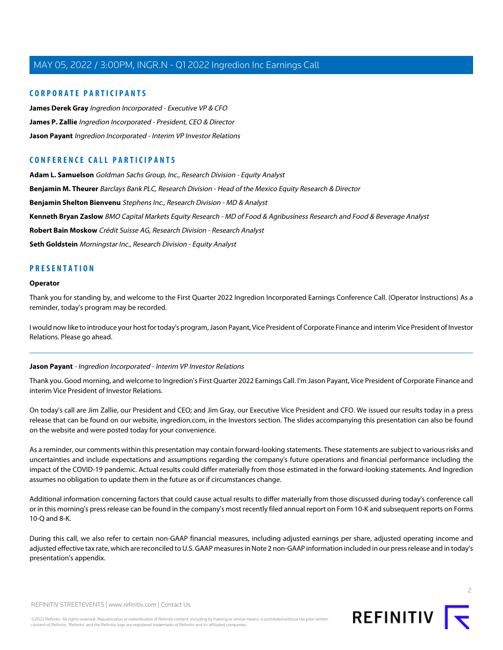#### **CORPORATE PARTICIPANTS**

**[James Derek Gray](#page-3-0)** Ingredion Incorporated - Executive VP & CFO **[James P. Zallie](#page-2-0)** Ingredion Incorporated - President, CEO & Director **[Jason Payant](#page-1-0)** Ingredion Incorporated - Interim VP Investor Relations

#### **CONFERENCE CALL PARTICIPANTS**

**[Adam L. Samuelson](#page-12-0)** Goldman Sachs Group, Inc., Research Division - Equity Analyst **[Benjamin M. Theurer](#page-5-0)** Barclays Bank PLC, Research Division - Head of the Mexico Equity Research & Director **[Benjamin Shelton Bienvenu](#page-7-0)** Stephens Inc., Research Division - MD & Analyst **[Kenneth Bryan Zaslow](#page-9-0)** BMO Capital Markets Equity Research - MD of Food & Agribusiness Research and Food & Beverage Analyst **[Robert Bain Moskow](#page-11-0)** Crédit Suisse AG, Research Division - Research Analyst **[Seth Goldstein](#page-14-0)** Morningstar Inc., Research Division - Equity Analyst

#### **PRESENTATION**

#### **Operator**

Thank you for standing by, and welcome to the First Quarter 2022 Ingredion Incorporated Earnings Conference Call. (Operator Instructions) As a reminder, today's program may be recorded.

<span id="page-1-0"></span>I would now like to introduce your host for today's program, Jason Payant, Vice President of Corporate Finance and interim Vice President of Investor Relations. Please go ahead.

#### **Jason Payant** - Ingredion Incorporated - Interim VP Investor Relations

Thank you. Good morning, and welcome to Ingredion's First Quarter 2022 Earnings Call. I'm Jason Payant, Vice President of Corporate Finance and interim Vice President of Investor Relations.

On today's call are Jim Zallie, our President and CEO; and Jim Gray, our Executive Vice President and CFO. We issued our results today in a press release that can be found on our website, ingredion.com, in the Investors section. The slides accompanying this presentation can also be found on the website and were posted today for your convenience.

As a reminder, our comments within this presentation may contain forward-looking statements. These statements are subject to various risks and uncertainties and include expectations and assumptions regarding the company's future operations and financial performance including the impact of the COVID-19 pandemic. Actual results could differ materially from those estimated in the forward-looking statements. And Ingredion assumes no obligation to update them in the future as or if circumstances change.

Additional information concerning factors that could cause actual results to differ materially from those discussed during today's conference call or in this morning's press release can be found in the company's most recently filed annual report on Form 10-K and subsequent reports on Forms 10-Q and 8-K.

During this call, we also refer to certain non-GAAP financial measures, including adjusted earnings per share, adjusted operating income and adjusted effective tax rate, which are reconciled to U.S. GAAP measures in Note 2 non-GAAP information included in our press release and in today's presentation's appendix.

 $\overline{2}$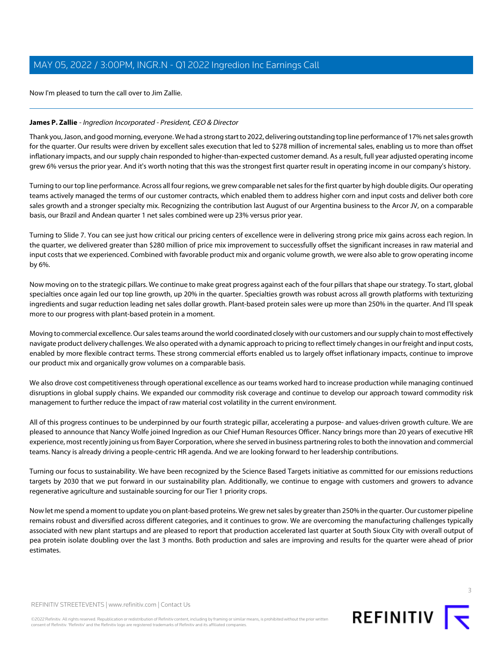Now I'm pleased to turn the call over to Jim Zallie.

#### <span id="page-2-0"></span>**James P. Zallie** - Ingredion Incorporated - President, CEO & Director

Thank you, Jason, and good morning, everyone. We had a strong start to 2022, delivering outstanding top line performance of 17% net sales growth for the quarter. Our results were driven by excellent sales execution that led to \$278 million of incremental sales, enabling us to more than offset inflationary impacts, and our supply chain responded to higher-than-expected customer demand. As a result, full year adjusted operating income grew 6% versus the prior year. And it's worth noting that this was the strongest first quarter result in operating income in our company's history.

Turning to our top line performance. Across all four regions, we grew comparable net sales for the first quarter by high double digits. Our operating teams actively managed the terms of our customer contracts, which enabled them to address higher corn and input costs and deliver both core sales growth and a stronger specialty mix. Recognizing the contribution last August of our Argentina business to the Arcor JV, on a comparable basis, our Brazil and Andean quarter 1 net sales combined were up 23% versus prior year.

Turning to Slide 7. You can see just how critical our pricing centers of excellence were in delivering strong price mix gains across each region. In the quarter, we delivered greater than \$280 million of price mix improvement to successfully offset the significant increases in raw material and input costs that we experienced. Combined with favorable product mix and organic volume growth, we were also able to grow operating income by 6%.

Now moving on to the strategic pillars. We continue to make great progress against each of the four pillars that shape our strategy. To start, global specialties once again led our top line growth, up 20% in the quarter. Specialties growth was robust across all growth platforms with texturizing ingredients and sugar reduction leading net sales dollar growth. Plant-based protein sales were up more than 250% in the quarter. And I'll speak more to our progress with plant-based protein in a moment.

Moving to commercial excellence. Our sales teams around the world coordinated closely with our customers and our supply chain to most effectively navigate product delivery challenges. We also operated with a dynamic approach to pricing to reflect timely changes in our freight and input costs, enabled by more flexible contract terms. These strong commercial efforts enabled us to largely offset inflationary impacts, continue to improve our product mix and organically grow volumes on a comparable basis.

We also drove cost competitiveness through operational excellence as our teams worked hard to increase production while managing continued disruptions in global supply chains. We expanded our commodity risk coverage and continue to develop our approach toward commodity risk management to further reduce the impact of raw material cost volatility in the current environment.

All of this progress continues to be underpinned by our fourth strategic pillar, accelerating a purpose- and values-driven growth culture. We are pleased to announce that Nancy Wolfe joined Ingredion as our Chief Human Resources Officer. Nancy brings more than 20 years of executive HR experience, most recently joining us from Bayer Corporation, where she served in business partnering roles to both the innovation and commercial teams. Nancy is already driving a people-centric HR agenda. And we are looking forward to her leadership contributions.

Turning our focus to sustainability. We have been recognized by the Science Based Targets initiative as committed for our emissions reductions targets by 2030 that we put forward in our sustainability plan. Additionally, we continue to engage with customers and growers to advance regenerative agriculture and sustainable sourcing for our Tier 1 priority crops.

Now let me spend a moment to update you on plant-based proteins. We grew net sales by greater than 250% in the quarter. Our customer pipeline remains robust and diversified across different categories, and it continues to grow. We are overcoming the manufacturing challenges typically associated with new plant startups and are pleased to report that production accelerated last quarter at South Sioux City with overall output of pea protein isolate doubling over the last 3 months. Both production and sales are improving and results for the quarter were ahead of prior estimates.

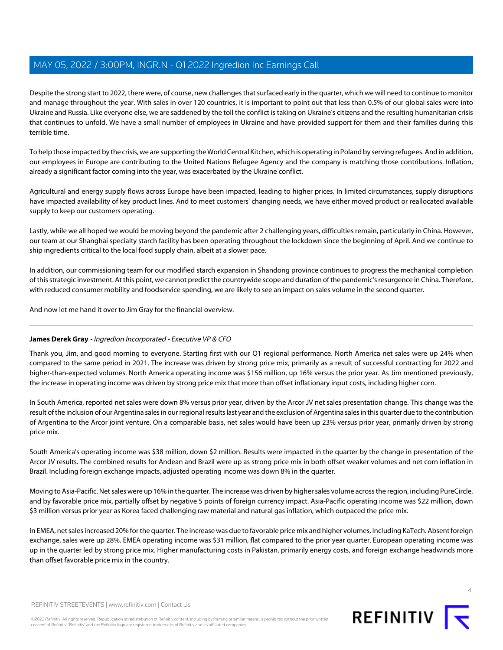Despite the strong start to 2022, there were, of course, new challenges that surfaced early in the quarter, which we will need to continue to monitor and manage throughout the year. With sales in over 120 countries, it is important to point out that less than 0.5% of our global sales were into Ukraine and Russia. Like everyone else, we are saddened by the toll the conflict is taking on Ukraine's citizens and the resulting humanitarian crisis that continues to unfold. We have a small number of employees in Ukraine and have provided support for them and their families during this terrible time.

To help those impacted by the crisis, we are supporting the World Central Kitchen, which is operating in Poland by serving refugees. And in addition, our employees in Europe are contributing to the United Nations Refugee Agency and the company is matching those contributions. Inflation, already a significant factor coming into the year, was exacerbated by the Ukraine conflict.

Agricultural and energy supply flows across Europe have been impacted, leading to higher prices. In limited circumstances, supply disruptions have impacted availability of key product lines. And to meet customers' changing needs, we have either moved product or reallocated available supply to keep our customers operating.

Lastly, while we all hoped we would be moving beyond the pandemic after 2 challenging years, difficulties remain, particularly in China. However, our team at our Shanghai specialty starch facility has been operating throughout the lockdown since the beginning of April. And we continue to ship ingredients critical to the local food supply chain, albeit at a slower pace.

In addition, our commissioning team for our modified starch expansion in Shandong province continues to progress the mechanical completion of this strategic investment. At this point, we cannot predict the countrywide scope and duration of the pandemic's resurgence in China. Therefore, with reduced consumer mobility and foodservice spending, we are likely to see an impact on sales volume in the second quarter.

<span id="page-3-0"></span>And now let me hand it over to Jim Gray for the financial overview.

#### **James Derek Gray** - Ingredion Incorporated - Executive VP & CFO

Thank you, Jim, and good morning to everyone. Starting first with our Q1 regional performance. North America net sales were up 24% when compared to the same period in 2021. The increase was driven by strong price mix, primarily as a result of successful contracting for 2022 and higher-than-expected volumes. North America operating income was \$156 million, up 16% versus the prior year. As Jim mentioned previously, the increase in operating income was driven by strong price mix that more than offset inflationary input costs, including higher corn.

In South America, reported net sales were down 8% versus prior year, driven by the Arcor JV net sales presentation change. This change was the result of the inclusion of our Argentina sales in our regional results last year and the exclusion of Argentina sales in this quarter due to the contribution of Argentina to the Arcor joint venture. On a comparable basis, net sales would have been up 23% versus prior year, primarily driven by strong price mix.

South America's operating income was \$38 million, down \$2 million. Results were impacted in the quarter by the change in presentation of the Arcor JV results. The combined results for Andean and Brazil were up as strong price mix in both offset weaker volumes and net corn inflation in Brazil. Including foreign exchange impacts, adjusted operating income was down 8% in the quarter.

Moving to Asia-Pacific. Net sales were up 16% in the quarter. The increase was driven by higher sales volume across the region, including PureCircle, and by favorable price mix, partially offset by negative 5 points of foreign currency impact. Asia-Pacific operating income was \$22 million, down \$3 million versus prior year as Korea faced challenging raw material and natural gas inflation, which outpaced the price mix.

In EMEA, net sales increased 20% for the quarter. The increase was due to favorable price mix and higher volumes, including KaTech. Absent foreign exchange, sales were up 28%. EMEA operating income was \$31 million, flat compared to the prior year quarter. European operating income was up in the quarter led by strong price mix. Higher manufacturing costs in Pakistan, primarily energy costs, and foreign exchange headwinds more than offset favorable price mix in the country.



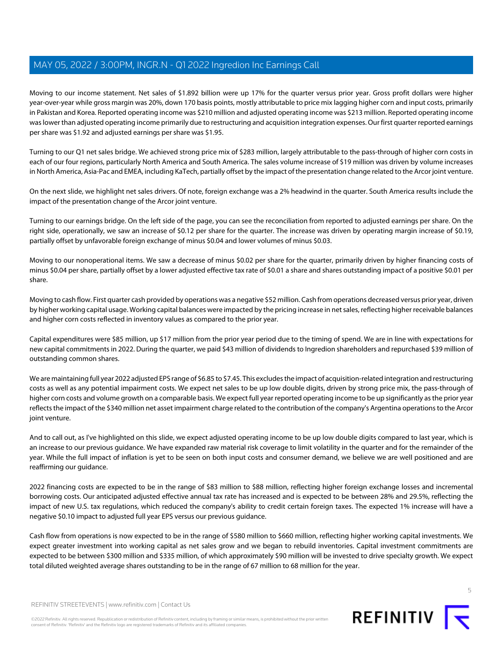Moving to our income statement. Net sales of \$1.892 billion were up 17% for the quarter versus prior year. Gross profit dollars were higher year-over-year while gross margin was 20%, down 170 basis points, mostly attributable to price mix lagging higher corn and input costs, primarily in Pakistan and Korea. Reported operating income was \$210 million and adjusted operating income was \$213 million. Reported operating income was lower than adjusted operating income primarily due to restructuring and acquisition integration expenses. Our first quarter reported earnings per share was \$1.92 and adjusted earnings per share was \$1.95.

Turning to our Q1 net sales bridge. We achieved strong price mix of \$283 million, largely attributable to the pass-through of higher corn costs in each of our four regions, particularly North America and South America. The sales volume increase of \$19 million was driven by volume increases in North America, Asia-Pac and EMEA, including KaTech, partially offset by the impact of the presentation change related to the Arcor joint venture.

On the next slide, we highlight net sales drivers. Of note, foreign exchange was a 2% headwind in the quarter. South America results include the impact of the presentation change of the Arcor joint venture.

Turning to our earnings bridge. On the left side of the page, you can see the reconciliation from reported to adjusted earnings per share. On the right side, operationally, we saw an increase of \$0.12 per share for the quarter. The increase was driven by operating margin increase of \$0.19, partially offset by unfavorable foreign exchange of minus \$0.04 and lower volumes of minus \$0.03.

Moving to our nonoperational items. We saw a decrease of minus \$0.02 per share for the quarter, primarily driven by higher financing costs of minus \$0.04 per share, partially offset by a lower adjusted effective tax rate of \$0.01 a share and shares outstanding impact of a positive \$0.01 per share.

Moving to cash flow. First quarter cash provided by operations was a negative \$52 million. Cash from operations decreased versus prior year, driven by higher working capital usage. Working capital balances were impacted by the pricing increase in net sales, reflecting higher receivable balances and higher corn costs reflected in inventory values as compared to the prior year.

Capital expenditures were \$85 million, up \$17 million from the prior year period due to the timing of spend. We are in line with expectations for new capital commitments in 2022. During the quarter, we paid \$43 million of dividends to Ingredion shareholders and repurchased \$39 million of outstanding common shares.

We are maintaining full year 2022 adjusted EPS range of \$6.85 to \$7.45. This excludes the impact of acquisition-related integration and restructuring costs as well as any potential impairment costs. We expect net sales to be up low double digits, driven by strong price mix, the pass-through of higher corn costs and volume growth on a comparable basis. We expect full year reported operating income to be up significantly as the prior year reflects the impact of the \$340 million net asset impairment charge related to the contribution of the company's Argentina operations to the Arcor joint venture.

And to call out, as I've highlighted on this slide, we expect adjusted operating income to be up low double digits compared to last year, which is an increase to our previous guidance. We have expanded raw material risk coverage to limit volatility in the quarter and for the remainder of the year. While the full impact of inflation is yet to be seen on both input costs and consumer demand, we believe we are well positioned and are reaffirming our guidance.

2022 financing costs are expected to be in the range of \$83 million to \$88 million, reflecting higher foreign exchange losses and incremental borrowing costs. Our anticipated adjusted effective annual tax rate has increased and is expected to be between 28% and 29.5%, reflecting the impact of new U.S. tax regulations, which reduced the company's ability to credit certain foreign taxes. The expected 1% increase will have a negative \$0.10 impact to adjusted full year EPS versus our previous guidance.

Cash flow from operations is now expected to be in the range of \$580 million to \$660 million, reflecting higher working capital investments. We expect greater investment into working capital as net sales grow and we began to rebuild inventories. Capital investment commitments are expected to be between \$300 million and \$335 million, of which approximately \$90 million will be invested to drive specialty growth. We expect total diluted weighted average shares outstanding to be in the range of 67 million to 68 million for the year.

©2022 Refinitiv. All rights reserved. Republication or redistribution of Refinitiv content, including by framing or similar means, is prohibited without the prior written consent of Refinitiv. 'Refinitiv' and the Refinitiv logo are registered trademarks of Refinitiv and its affiliated companies.

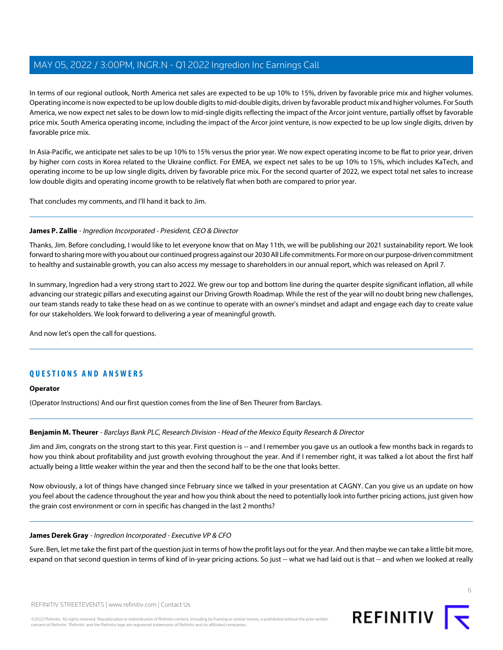In terms of our regional outlook, North America net sales are expected to be up 10% to 15%, driven by favorable price mix and higher volumes. Operating income is now expected to be up low double digits to mid-double digits, driven by favorable product mix and higher volumes. For South America, we now expect net sales to be down low to mid-single digits reflecting the impact of the Arcor joint venture, partially offset by favorable price mix. South America operating income, including the impact of the Arcor joint venture, is now expected to be up low single digits, driven by favorable price mix.

In Asia-Pacific, we anticipate net sales to be up 10% to 15% versus the prior year. We now expect operating income to be flat to prior year, driven by higher corn costs in Korea related to the Ukraine conflict. For EMEA, we expect net sales to be up 10% to 15%, which includes KaTech, and operating income to be up low single digits, driven by favorable price mix. For the second quarter of 2022, we expect total net sales to increase low double digits and operating income growth to be relatively flat when both are compared to prior year.

That concludes my comments, and I'll hand it back to Jim.

#### **James P. Zallie** - Ingredion Incorporated - President, CEO & Director

Thanks, Jim. Before concluding, I would like to let everyone know that on May 11th, we will be publishing our 2021 sustainability report. We look forward to sharing more with you about our continued progress against our 2030 All Life commitments. For more on our purpose-driven commitment to healthy and sustainable growth, you can also access my message to shareholders in our annual report, which was released on April 7.

In summary, Ingredion had a very strong start to 2022. We grew our top and bottom line during the quarter despite significant inflation, all while advancing our strategic pillars and executing against our Driving Growth Roadmap. While the rest of the year will no doubt bring new challenges, our team stands ready to take these head on as we continue to operate with an owner's mindset and adapt and engage each day to create value for our stakeholders. We look forward to delivering a year of meaningful growth.

And now let's open the call for questions.

#### **QUESTIONS AND ANSWERS**

#### <span id="page-5-0"></span>**Operator**

(Operator Instructions) And our first question comes from the line of Ben Theurer from Barclays.

#### **Benjamin M. Theurer** - Barclays Bank PLC, Research Division - Head of the Mexico Equity Research & Director

Jim and Jim, congrats on the strong start to this year. First question is -- and I remember you gave us an outlook a few months back in regards to how you think about profitability and just growth evolving throughout the year. And if I remember right, it was talked a lot about the first half actually being a little weaker within the year and then the second half to be the one that looks better.

Now obviously, a lot of things have changed since February since we talked in your presentation at CAGNY. Can you give us an update on how you feel about the cadence throughout the year and how you think about the need to potentially look into further pricing actions, just given how the grain cost environment or corn in specific has changed in the last 2 months?

#### **James Derek Gray** - Ingredion Incorporated - Executive VP & CFO

Sure. Ben, let me take the first part of the question just in terms of how the profit lays out for the year. And then maybe we can take a little bit more, expand on that second question in terms of kind of in-year pricing actions. So just -- what we had laid out is that -- and when we looked at really



6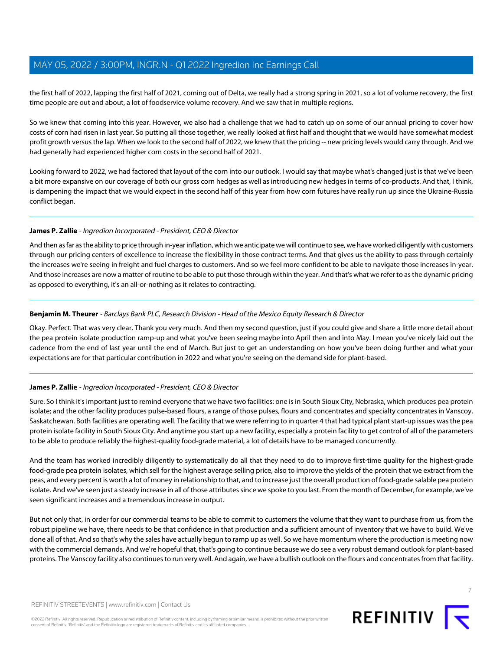the first half of 2022, lapping the first half of 2021, coming out of Delta, we really had a strong spring in 2021, so a lot of volume recovery, the first time people are out and about, a lot of foodservice volume recovery. And we saw that in multiple regions.

So we knew that coming into this year. However, we also had a challenge that we had to catch up on some of our annual pricing to cover how costs of corn had risen in last year. So putting all those together, we really looked at first half and thought that we would have somewhat modest profit growth versus the lap. When we look to the second half of 2022, we knew that the pricing -- new pricing levels would carry through. And we had generally had experienced higher corn costs in the second half of 2021.

Looking forward to 2022, we had factored that layout of the corn into our outlook. I would say that maybe what's changed just is that we've been a bit more expansive on our coverage of both our gross corn hedges as well as introducing new hedges in terms of co-products. And that, I think, is dampening the impact that we would expect in the second half of this year from how corn futures have really run up since the Ukraine-Russia conflict began.

#### **James P. Zallie** - Ingredion Incorporated - President, CEO & Director

And then as far as the ability to price through in-year inflation, which we anticipate we will continue to see, we have worked diligently with customers through our pricing centers of excellence to increase the flexibility in those contract terms. And that gives us the ability to pass through certainly the increases we're seeing in freight and fuel charges to customers. And so we feel more confident to be able to navigate those increases in-year. And those increases are now a matter of routine to be able to put those through within the year. And that's what we refer to as the dynamic pricing as opposed to everything, it's an all-or-nothing as it relates to contracting.

#### **Benjamin M. Theurer** - Barclays Bank PLC, Research Division - Head of the Mexico Equity Research & Director

Okay. Perfect. That was very clear. Thank you very much. And then my second question, just if you could give and share a little more detail about the pea protein isolate production ramp-up and what you've been seeing maybe into April then and into May. I mean you've nicely laid out the cadence from the end of last year until the end of March. But just to get an understanding on how you've been doing further and what your expectations are for that particular contribution in 2022 and what you're seeing on the demand side for plant-based.

#### **James P. Zallie** - Ingredion Incorporated - President, CEO & Director

Sure. So I think it's important just to remind everyone that we have two facilities: one is in South Sioux City, Nebraska, which produces pea protein isolate; and the other facility produces pulse-based flours, a range of those pulses, flours and concentrates and specialty concentrates in Vanscoy, Saskatchewan. Both facilities are operating well. The facility that we were referring to in quarter 4 that had typical plant start-up issues was the pea protein isolate facility in South Sioux City. And anytime you start up a new facility, especially a protein facility to get control of all of the parameters to be able to produce reliably the highest-quality food-grade material, a lot of details have to be managed concurrently.

And the team has worked incredibly diligently to systematically do all that they need to do to improve first-time quality for the highest-grade food-grade pea protein isolates, which sell for the highest average selling price, also to improve the yields of the protein that we extract from the peas, and every percent is worth a lot of money in relationship to that, and to increase just the overall production of food-grade salable pea protein isolate. And we've seen just a steady increase in all of those attributes since we spoke to you last. From the month of December, for example, we've seen significant increases and a tremendous increase in output.

But not only that, in order for our commercial teams to be able to commit to customers the volume that they want to purchase from us, from the robust pipeline we have, there needs to be that confidence in that production and a sufficient amount of inventory that we have to build. We've done all of that. And so that's why the sales have actually begun to ramp up as well. So we have momentum where the production is meeting now with the commercial demands. And we're hopeful that, that's going to continue because we do see a very robust demand outlook for plant-based proteins. The Vanscoy facility also continues to run very well. And again, we have a bullish outlook on the flours and concentrates from that facility.

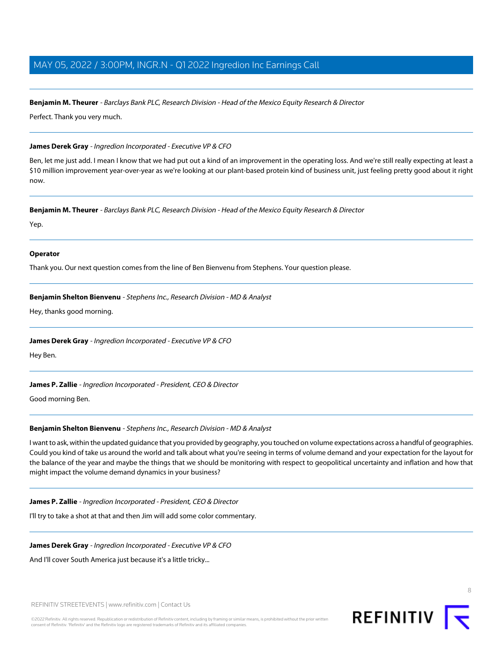#### **Benjamin M. Theurer** - Barclays Bank PLC, Research Division - Head of the Mexico Equity Research & Director

Perfect. Thank you very much.

#### **James Derek Gray** - Ingredion Incorporated - Executive VP & CFO

Ben, let me just add. I mean I know that we had put out a kind of an improvement in the operating loss. And we're still really expecting at least a \$10 million improvement year-over-year as we're looking at our plant-based protein kind of business unit, just feeling pretty good about it right now.

#### **Benjamin M. Theurer** - Barclays Bank PLC, Research Division - Head of the Mexico Equity Research & Director

Yep.

#### **Operator**

<span id="page-7-0"></span>Thank you. Our next question comes from the line of Ben Bienvenu from Stephens. Your question please.

#### **Benjamin Shelton Bienvenu** - Stephens Inc., Research Division - MD & Analyst

Hey, thanks good morning.

#### **James Derek Gray** - Ingredion Incorporated - Executive VP & CFO

Hey Ben.

#### **James P. Zallie** - Ingredion Incorporated - President, CEO & Director

Good morning Ben.

#### **Benjamin Shelton Bienvenu** - Stephens Inc., Research Division - MD & Analyst

I want to ask, within the updated guidance that you provided by geography, you touched on volume expectations across a handful of geographies. Could you kind of take us around the world and talk about what you're seeing in terms of volume demand and your expectation for the layout for the balance of the year and maybe the things that we should be monitoring with respect to geopolitical uncertainty and inflation and how that might impact the volume demand dynamics in your business?

#### **James P. Zallie** - Ingredion Incorporated - President, CEO & Director

I'll try to take a shot at that and then Jim will add some color commentary.

#### **James Derek Gray** - Ingredion Incorporated - Executive VP & CFO

And I'll cover South America just because it's a little tricky...

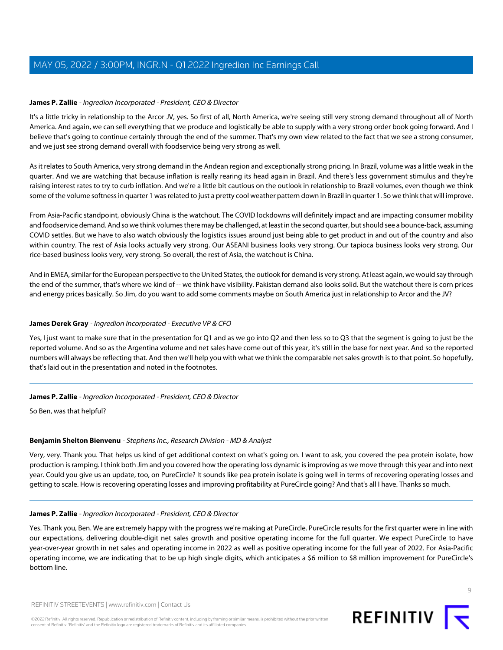#### **James P. Zallie** - Ingredion Incorporated - President, CEO & Director

It's a little tricky in relationship to the Arcor JV, yes. So first of all, North America, we're seeing still very strong demand throughout all of North America. And again, we can sell everything that we produce and logistically be able to supply with a very strong order book going forward. And I believe that's going to continue certainly through the end of the summer. That's my own view related to the fact that we see a strong consumer, and we just see strong demand overall with foodservice being very strong as well.

As it relates to South America, very strong demand in the Andean region and exceptionally strong pricing. In Brazil, volume was a little weak in the quarter. And we are watching that because inflation is really rearing its head again in Brazil. And there's less government stimulus and they're raising interest rates to try to curb inflation. And we're a little bit cautious on the outlook in relationship to Brazil volumes, even though we think some of the volume softness in quarter 1 was related to just a pretty cool weather pattern down in Brazil in quarter 1. So we think that will improve.

From Asia-Pacific standpoint, obviously China is the watchout. The COVID lockdowns will definitely impact and are impacting consumer mobility and foodservice demand. And so we think volumes there may be challenged, at least in the second quarter, but should see a bounce-back, assuming COVID settles. But we have to also watch obviously the logistics issues around just being able to get product in and out of the country and also within country. The rest of Asia looks actually very strong. Our ASEANI business looks very strong. Our tapioca business looks very strong. Our rice-based business looks very, very strong. So overall, the rest of Asia, the watchout is China.

And in EMEA, similar for the European perspective to the United States, the outlook for demand is very strong. At least again, we would say through the end of the summer, that's where we kind of -- we think have visibility. Pakistan demand also looks solid. But the watchout there is corn prices and energy prices basically. So Jim, do you want to add some comments maybe on South America just in relationship to Arcor and the JV?

#### **James Derek Gray** - Ingredion Incorporated - Executive VP & CFO

Yes, I just want to make sure that in the presentation for Q1 and as we go into Q2 and then less so to Q3 that the segment is going to just be the reported volume. And so as the Argentina volume and net sales have come out of this year, it's still in the base for next year. And so the reported numbers will always be reflecting that. And then we'll help you with what we think the comparable net sales growth is to that point. So hopefully, that's laid out in the presentation and noted in the footnotes.

#### **James P. Zallie** - Ingredion Incorporated - President, CEO & Director

So Ben, was that helpful?

#### **Benjamin Shelton Bienvenu** - Stephens Inc., Research Division - MD & Analyst

Very, very. Thank you. That helps us kind of get additional context on what's going on. I want to ask, you covered the pea protein isolate, how production is ramping. I think both Jim and you covered how the operating loss dynamic is improving as we move through this year and into next year. Could you give us an update, too, on PureCircle? It sounds like pea protein isolate is going well in terms of recovering operating losses and getting to scale. How is recovering operating losses and improving profitability at PureCircle going? And that's all I have. Thanks so much.

#### **James P. Zallie** - Ingredion Incorporated - President, CEO & Director

Yes. Thank you, Ben. We are extremely happy with the progress we're making at PureCircle. PureCircle results for the first quarter were in line with our expectations, delivering double-digit net sales growth and positive operating income for the full quarter. We expect PureCircle to have year-over-year growth in net sales and operating income in 2022 as well as positive operating income for the full year of 2022. For Asia-Pacific operating income, we are indicating that to be up high single digits, which anticipates a \$6 million to \$8 million improvement for PureCircle's bottom line.

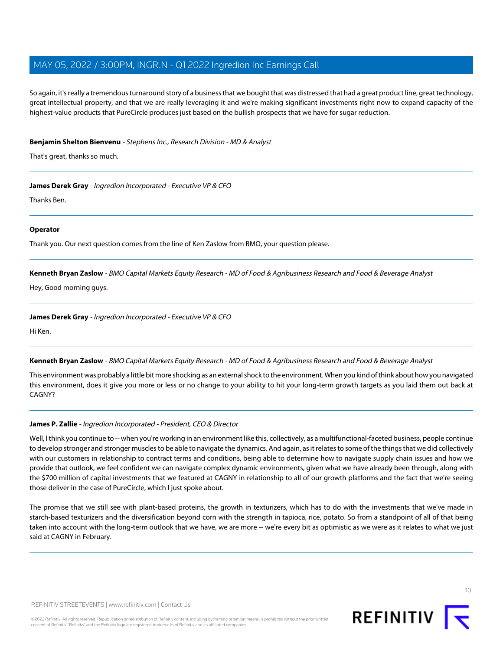So again, it's really a tremendous turnaround story of a business that we bought that was distressed that had a great product line, great technology, great intellectual property, and that we are really leveraging it and we're making significant investments right now to expand capacity of the highest-value products that PureCircle produces just based on the bullish prospects that we have for sugar reduction.

#### **Benjamin Shelton Bienvenu** - Stephens Inc., Research Division - MD & Analyst

That's great, thanks so much.

**James Derek Gray** - Ingredion Incorporated - Executive VP & CFO

Thanks Ben.

#### **Operator**

<span id="page-9-0"></span>Thank you. Our next question comes from the line of Ken Zaslow from BMO, your question please.

**Kenneth Bryan Zaslow** - BMO Capital Markets Equity Research - MD of Food & Agribusiness Research and Food & Beverage Analyst

Hey, Good morning guys.

**James Derek Gray** - Ingredion Incorporated - Executive VP & CFO

Hi Ken.

#### **Kenneth Bryan Zaslow** - BMO Capital Markets Equity Research - MD of Food & Agribusiness Research and Food & Beverage Analyst

This environment was probably a little bit more shocking as an external shock to the environment. When you kind of think about how you navigated this environment, does it give you more or less or no change to your ability to hit your long-term growth targets as you laid them out back at CAGNY?

#### **James P. Zallie** - Ingredion Incorporated - President, CEO & Director

Well, I think you continue to -- when you're working in an environment like this, collectively, as a multifunctional-faceted business, people continue to develop stronger and stronger muscles to be able to navigate the dynamics. And again, as it relates to some of the things that we did collectively with our customers in relationship to contract terms and conditions, being able to determine how to navigate supply chain issues and how we provide that outlook, we feel confident we can navigate complex dynamic environments, given what we have already been through, along with the \$700 million of capital investments that we featured at CAGNY in relationship to all of our growth platforms and the fact that we're seeing those deliver in the case of PureCircle, which I just spoke about.

The promise that we still see with plant-based proteins, the growth in texturizers, which has to do with the investments that we've made in starch-based texturizers and the diversification beyond corn with the strength in tapioca, rice, potato. So from a standpoint of all of that being taken into account with the long-term outlook that we have, we are more -- we're every bit as optimistic as we were as it relates to what we just said at CAGNY in February.

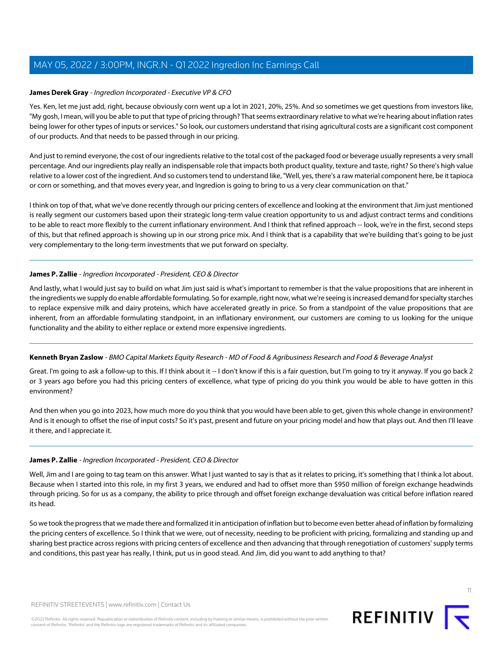#### **James Derek Gray** - Ingredion Incorporated - Executive VP & CFO

Yes. Ken, let me just add, right, because obviously corn went up a lot in 2021, 20%, 25%. And so sometimes we get questions from investors like, "My gosh, I mean, will you be able to put that type of pricing through? That seems extraordinary relative to what we're hearing about inflation rates being lower for other types of inputs or services." So look, our customers understand that rising agricultural costs are a significant cost component of our products. And that needs to be passed through in our pricing.

And just to remind everyone, the cost of our ingredients relative to the total cost of the packaged food or beverage usually represents a very small percentage. And our ingredients play really an indispensable role that impacts both product quality, texture and taste, right? So there's high value relative to a lower cost of the ingredient. And so customers tend to understand like, "Well, yes, there's a raw material component here, be it tapioca or corn or something, and that moves every year, and Ingredion is going to bring to us a very clear communication on that."

I think on top of that, what we've done recently through our pricing centers of excellence and looking at the environment that Jim just mentioned is really segment our customers based upon their strategic long-term value creation opportunity to us and adjust contract terms and conditions to be able to react more flexibly to the current inflationary environment. And I think that refined approach -- look, we're in the first, second steps of this, but that refined approach is showing up in our strong price mix. And I think that is a capability that we're building that's going to be just very complementary to the long-term investments that we put forward on specialty.

#### **James P. Zallie** - Ingredion Incorporated - President, CEO & Director

And lastly, what I would just say to build on what Jim just said is what's important to remember is that the value propositions that are inherent in the ingredients we supply do enable affordable formulating. So for example, right now, what we're seeing is increased demand for specialty starches to replace expensive milk and dairy proteins, which have accelerated greatly in price. So from a standpoint of the value propositions that are inherent, from an affordable formulating standpoint, in an inflationary environment, our customers are coming to us looking for the unique functionality and the ability to either replace or extend more expensive ingredients.

#### **Kenneth Bryan Zaslow** - BMO Capital Markets Equity Research - MD of Food & Agribusiness Research and Food & Beverage Analyst

Great. I'm going to ask a follow-up to this. If I think about it -- I don't know if this is a fair question, but I'm going to try it anyway. If you go back 2 or 3 years ago before you had this pricing centers of excellence, what type of pricing do you think you would be able to have gotten in this environment?

And then when you go into 2023, how much more do you think that you would have been able to get, given this whole change in environment? And is it enough to offset the rise of input costs? So it's past, present and future on your pricing model and how that plays out. And then I'll leave it there, and I appreciate it.

#### **James P. Zallie** - Ingredion Incorporated - President, CEO & Director

Well, Jim and I are going to tag team on this answer. What I just wanted to say is that as it relates to pricing, it's something that I think a lot about. Because when I started into this role, in my first 3 years, we endured and had to offset more than \$950 million of foreign exchange headwinds through pricing. So for us as a company, the ability to price through and offset foreign exchange devaluation was critical before inflation reared its head.

So we took the progress that we made there and formalized it in anticipation of inflation but to become even better ahead of inflation by formalizing the pricing centers of excellence. So I think that we were, out of necessity, needing to be proficient with pricing, formalizing and standing up and sharing best practice across regions with pricing centers of excellence and then advancing that through renegotiation of customers' supply terms and conditions, this past year has really, I think, put us in good stead. And Jim, did you want to add anything to that?

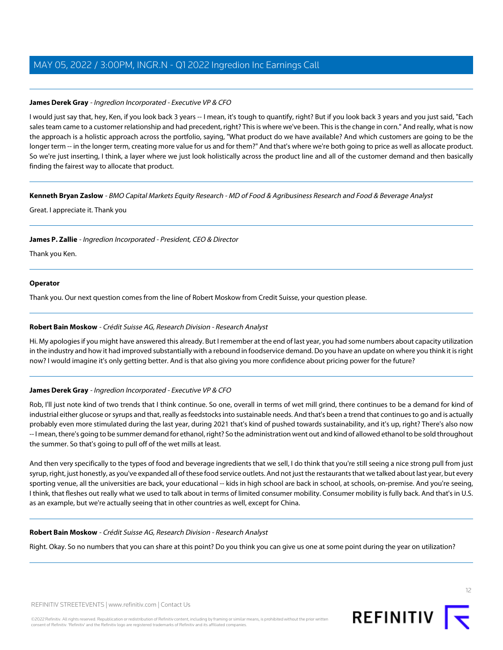#### **James Derek Gray** - Ingredion Incorporated - Executive VP & CFO

I would just say that, hey, Ken, if you look back 3 years -- I mean, it's tough to quantify, right? But if you look back 3 years and you just said, "Each sales team came to a customer relationship and had precedent, right? This is where we've been. This is the change in corn." And really, what is now the approach is a holistic approach across the portfolio, saying, "What product do we have available? And which customers are going to be the longer term -- in the longer term, creating more value for us and for them?" And that's where we're both going to price as well as allocate product. So we're just inserting, I think, a layer where we just look holistically across the product line and all of the customer demand and then basically finding the fairest way to allocate that product.

#### **Kenneth Bryan Zaslow** - BMO Capital Markets Equity Research - MD of Food & Agribusiness Research and Food & Beverage Analyst

Great. I appreciate it. Thank you

#### **James P. Zallie** - Ingredion Incorporated - President, CEO & Director

Thank you Ken.

#### **Operator**

<span id="page-11-0"></span>Thank you. Our next question comes from the line of Robert Moskow from Credit Suisse, your question please.

#### **Robert Bain Moskow** - Crédit Suisse AG, Research Division - Research Analyst

Hi. My apologies if you might have answered this already. But I remember at the end of last year, you had some numbers about capacity utilization in the industry and how it had improved substantially with a rebound in foodservice demand. Do you have an update on where you think it is right now? I would imagine it's only getting better. And is that also giving you more confidence about pricing power for the future?

#### **James Derek Gray** - Ingredion Incorporated - Executive VP & CFO

Rob, I'll just note kind of two trends that I think continue. So one, overall in terms of wet mill grind, there continues to be a demand for kind of industrial either glucose or syrups and that, really as feedstocks into sustainable needs. And that's been a trend that continues to go and is actually probably even more stimulated during the last year, during 2021 that's kind of pushed towards sustainability, and it's up, right? There's also now -- I mean, there's going to be summer demand for ethanol, right? So the administration went out and kind of allowed ethanol to be sold throughout the summer. So that's going to pull off of the wet mills at least.

And then very specifically to the types of food and beverage ingredients that we sell, I do think that you're still seeing a nice strong pull from just syrup, right, just honestly, as you've expanded all of these food service outlets. And not just the restaurants that we talked about last year, but every sporting venue, all the universities are back, your educational -- kids in high school are back in school, at schools, on-premise. And you're seeing, I think, that fleshes out really what we used to talk about in terms of limited consumer mobility. Consumer mobility is fully back. And that's in U.S. as an example, but we're actually seeing that in other countries as well, except for China.

#### **Robert Bain Moskow** - Crédit Suisse AG, Research Division - Research Analyst

Right. Okay. So no numbers that you can share at this point? Do you think you can give us one at some point during the year on utilization?

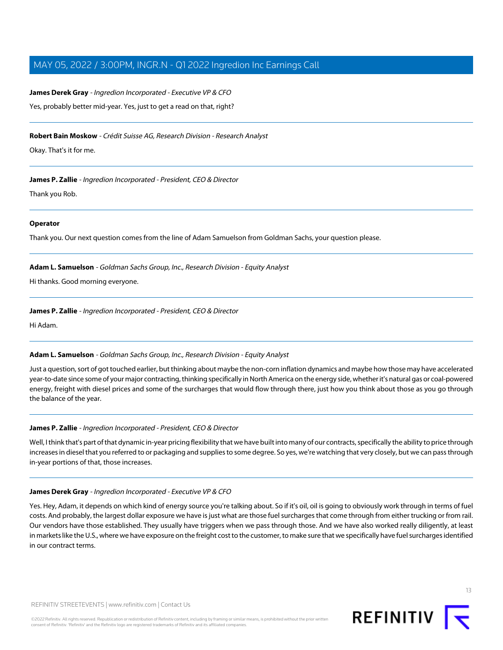## **James Derek Gray** - Ingredion Incorporated - Executive VP & CFO Yes, probably better mid-year. Yes, just to get a read on that, right?

**Robert Bain Moskow** - Crédit Suisse AG, Research Division - Research Analyst

Okay. That's it for me.

**James P. Zallie** - Ingredion Incorporated - President, CEO & Director

Thank you Rob.

#### **Operator**

<span id="page-12-0"></span>Thank you. Our next question comes from the line of Adam Samuelson from Goldman Sachs, your question please.

**Adam L. Samuelson** - Goldman Sachs Group, Inc., Research Division - Equity Analyst

Hi thanks. Good morning everyone.

**James P. Zallie** - Ingredion Incorporated - President, CEO & Director

Hi Adam.

#### **Adam L. Samuelson** - Goldman Sachs Group, Inc., Research Division - Equity Analyst

Just a question, sort of got touched earlier, but thinking about maybe the non-corn inflation dynamics and maybe how those may have accelerated year-to-date since some of your major contracting, thinking specifically in North America on the energy side, whether it's natural gas or coal-powered energy, freight with diesel prices and some of the surcharges that would flow through there, just how you think about those as you go through the balance of the year.

#### **James P. Zallie** - Ingredion Incorporated - President, CEO & Director

Well, I think that's part of that dynamic in-year pricing flexibility that we have built into many of our contracts, specifically the ability to price through increases in diesel that you referred to or packaging and supplies to some degree. So yes, we're watching that very closely, but we can pass through in-year portions of that, those increases.

#### **James Derek Gray** - Ingredion Incorporated - Executive VP & CFO

Yes. Hey, Adam, it depends on which kind of energy source you're talking about. So if it's oil, oil is going to obviously work through in terms of fuel costs. And probably, the largest dollar exposure we have is just what are those fuel surcharges that come through from either trucking or from rail. Our vendors have those established. They usually have triggers when we pass through those. And we have also worked really diligently, at least in markets like the U.S., where we have exposure on the freight cost to the customer, to make sure that we specifically have fuel surcharges identified in our contract terms.

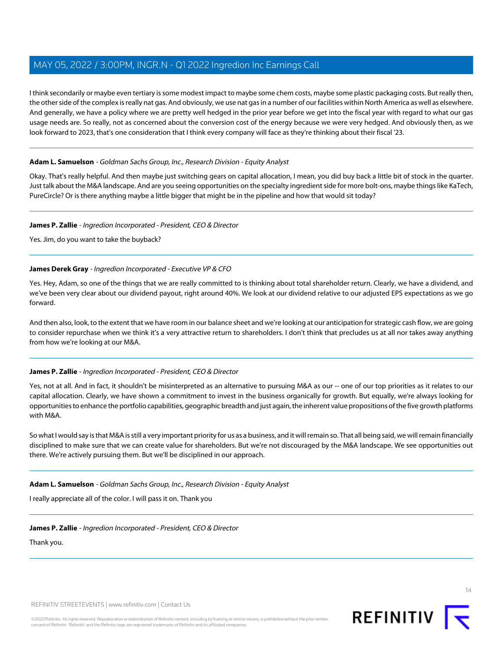I think secondarily or maybe even tertiary is some modest impact to maybe some chem costs, maybe some plastic packaging costs. But really then, the other side of the complex is really nat gas. And obviously, we use nat gas in a number of our facilities within North America as well as elsewhere. And generally, we have a policy where we are pretty well hedged in the prior year before we get into the fiscal year with regard to what our gas usage needs are. So really, not as concerned about the conversion cost of the energy because we were very hedged. And obviously then, as we look forward to 2023, that's one consideration that I think every company will face as they're thinking about their fiscal '23.

#### **Adam L. Samuelson** - Goldman Sachs Group, Inc., Research Division - Equity Analyst

Okay. That's really helpful. And then maybe just switching gears on capital allocation, I mean, you did buy back a little bit of stock in the quarter. Just talk about the M&A landscape. And are you seeing opportunities on the specialty ingredient side for more bolt-ons, maybe things like KaTech, PureCircle? Or is there anything maybe a little bigger that might be in the pipeline and how that would sit today?

#### **James P. Zallie** - Ingredion Incorporated - President, CEO & Director

Yes. Jim, do you want to take the buyback?

#### **James Derek Gray** - Ingredion Incorporated - Executive VP & CFO

Yes. Hey, Adam, so one of the things that we are really committed to is thinking about total shareholder return. Clearly, we have a dividend, and we've been very clear about our dividend payout, right around 40%. We look at our dividend relative to our adjusted EPS expectations as we go forward.

And then also, look, to the extent that we have room in our balance sheet and we're looking at our anticipation for strategic cash flow, we are going to consider repurchase when we think it's a very attractive return to shareholders. I don't think that precludes us at all nor takes away anything from how we're looking at our M&A.

#### **James P. Zallie** - Ingredion Incorporated - President, CEO & Director

Yes, not at all. And in fact, it shouldn't be misinterpreted as an alternative to pursuing M&A as our -- one of our top priorities as it relates to our capital allocation. Clearly, we have shown a commitment to invest in the business organically for growth. But equally, we're always looking for opportunities to enhance the portfolio capabilities, geographic breadth and just again, the inherent value propositions of the five growth platforms with M&A.

So what I would say is that M&A is still a very important priority for us as a business, and it will remain so. That all being said, we will remain financially disciplined to make sure that we can create value for shareholders. But we're not discouraged by the M&A landscape. We see opportunities out there. We're actively pursuing them. But we'll be disciplined in our approach.

**Adam L. Samuelson** - Goldman Sachs Group, Inc., Research Division - Equity Analyst

I really appreciate all of the color. I will pass it on. Thank you

**James P. Zallie** - Ingredion Incorporated - President, CEO & Director

Thank you.

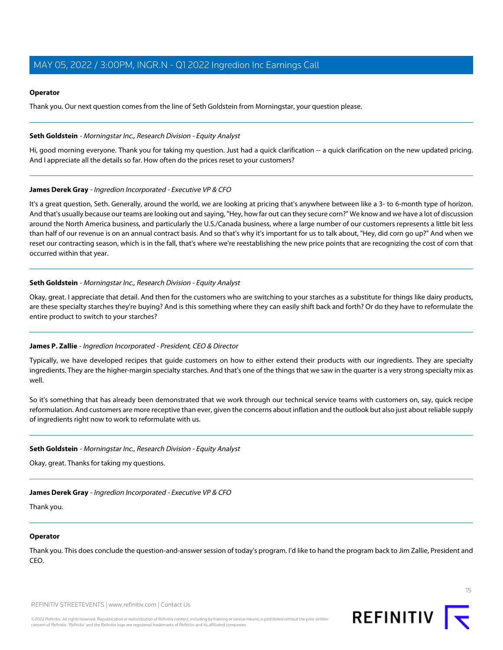#### **Operator**

Thank you. Our next question comes from the line of Seth Goldstein from Morningstar, your question please.

#### <span id="page-14-0"></span>**Seth Goldstein** - Morningstar Inc., Research Division - Equity Analyst

Hi, good morning everyone. Thank you for taking my question. Just had a quick clarification -- a quick clarification on the new updated pricing. And I appreciate all the details so far. How often do the prices reset to your customers?

#### **James Derek Gray** - Ingredion Incorporated - Executive VP & CFO

It's a great question, Seth. Generally, around the world, we are looking at pricing that's anywhere between like a 3- to 6-month type of horizon. And that's usually because our teams are looking out and saying, "Hey, how far out can they secure corn?" We know and we have a lot of discussion around the North America business, and particularly the U.S./Canada business, where a large number of our customers represents a little bit less than half of our revenue is on an annual contract basis. And so that's why it's important for us to talk about, "Hey, did corn go up?" And when we reset our contracting season, which is in the fall, that's where we're reestablishing the new price points that are recognizing the cost of corn that occurred within that year.

#### **Seth Goldstein** - Morningstar Inc., Research Division - Equity Analyst

Okay, great. I appreciate that detail. And then for the customers who are switching to your starches as a substitute for things like dairy products, are these specialty starches they're buying? And is this something where they can easily shift back and forth? Or do they have to reformulate the entire product to switch to your starches?

#### **James P. Zallie** - Ingredion Incorporated - President, CEO & Director

Typically, we have developed recipes that guide customers on how to either extend their products with our ingredients. They are specialty ingredients. They are the higher-margin specialty starches. And that's one of the things that we saw in the quarter is a very strong specialty mix as well.

So it's something that has already been demonstrated that we work through our technical service teams with customers on, say, quick recipe reformulation. And customers are more receptive than ever, given the concerns about inflation and the outlook but also just about reliable supply of ingredients right now to work to reformulate with us.

#### **Seth Goldstein** - Morningstar Inc., Research Division - Equity Analyst

Okay, great. Thanks for taking my questions.

#### **James Derek Gray** - Ingredion Incorporated - Executive VP & CFO

Thank you.

#### **Operator**

Thank you. This does conclude the question-and-answer session of today's program. I'd like to hand the program back to Jim Zallie, President and CEO.

REFINITIV STREETEVENTS | [www.refinitiv.com](https://www.refinitiv.com/) | [Contact Us](https://www.refinitiv.com/en/contact-us)